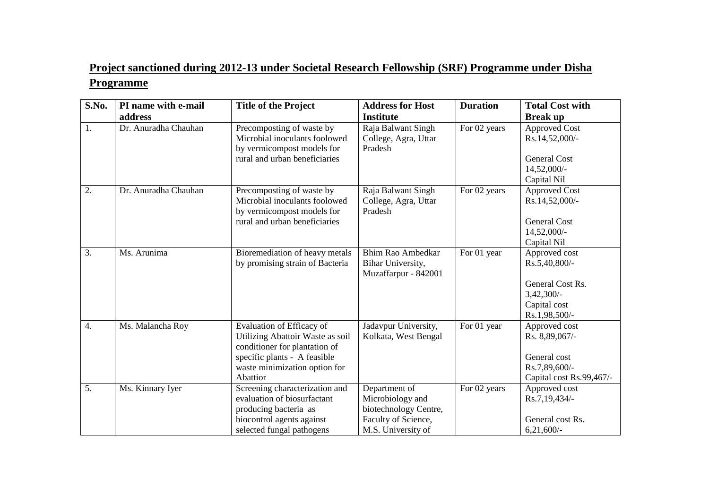## **Project sanctioned during 2012-13 under Societal Research Fellowship (SRF) Programme under Disha Programme**

| S.No. | PI name with e-mail  | <b>Title of the Project</b>                                                                                                                                                 | <b>Address for Host</b>                                                                                 | <b>Duration</b> | <b>Total Cost with</b>                                                                              |
|-------|----------------------|-----------------------------------------------------------------------------------------------------------------------------------------------------------------------------|---------------------------------------------------------------------------------------------------------|-----------------|-----------------------------------------------------------------------------------------------------|
|       | address              |                                                                                                                                                                             | <b>Institute</b>                                                                                        |                 | <b>Break up</b>                                                                                     |
| 1.    | Dr. Anuradha Chauhan | Precomposting of waste by<br>Microbial inoculants foolowed<br>by vermicompost models for<br>rural and urban beneficiaries                                                   | Raja Balwant Singh<br>College, Agra, Uttar<br>Pradesh                                                   | For 02 years    | <b>Approved Cost</b><br>Rs.14,52,000/-<br><b>General Cost</b><br>14,52,000/-<br>Capital Nil         |
| 2.    | Dr. Anuradha Chauhan | Precomposting of waste by<br>Microbial inoculants foolowed<br>by vermicompost models for<br>rural and urban beneficiaries                                                   | Raja Balwant Singh<br>College, Agra, Uttar<br>Pradesh                                                   | For 02 years    | <b>Approved Cost</b><br>Rs.14,52,000/-<br><b>General Cost</b><br>14,52,000/-<br>Capital Nil         |
| 3.    | Ms. Arunima          | Bioremediation of heavy metals<br>by promising strain of Bacteria                                                                                                           | Bhim Rao Ambedkar<br>Bihar University,<br>Muzaffarpur - 842001                                          | For 01 year     | Approved cost<br>Rs.5,40,800/-<br>General Cost Rs.<br>$3,42,300/-$<br>Capital cost<br>Rs.1,98,500/- |
| 4.    | Ms. Malancha Roy     | Evaluation of Efficacy of<br>Utilizing Abattoir Waste as soil<br>conditioner for plantation of<br>specific plants - A feasible<br>waste minimization option for<br>Abattior | Jadavpur University,<br>Kolkata, West Bengal                                                            | For 01 year     | Approved cost<br>Rs. 8,89,067/-<br>General cost<br>Rs.7,89,600/-<br>Capital cost Rs.99,467/-        |
| 5.    | Ms. Kinnary Iyer     | Screening characterization and<br>evaluation of biosurfactant<br>producing bacteria as<br>biocontrol agents against<br>selected fungal pathogens                            | Department of<br>Microbiology and<br>biotechnology Centre,<br>Faculty of Science,<br>M.S. University of | For 02 years    | Approved cost<br>Rs.7,19,434/-<br>General cost Rs.<br>$6,21,600/-$                                  |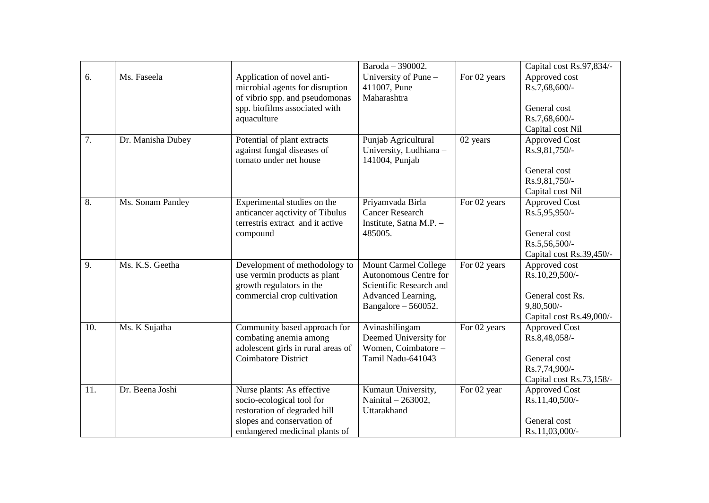|                  |                   |                                                                                                                                                         | Baroda - 390002.                                                                                                               |              | Capital cost Rs.97,834/-                                                                           |
|------------------|-------------------|---------------------------------------------------------------------------------------------------------------------------------------------------------|--------------------------------------------------------------------------------------------------------------------------------|--------------|----------------------------------------------------------------------------------------------------|
| 6.               | Ms. Faseela       | Application of novel anti-<br>microbial agents for disruption<br>of vibrio spp. and pseudomonas<br>spp. biofilms associated with<br>aquaculture         | University of Pune -<br>411007, Pune<br>Maharashtra                                                                            | For 02 years | Approved cost<br>Rs.7,68,600/-<br>General cost<br>Rs.7,68,600/-<br>Capital cost Nil                |
| 7.               | Dr. Manisha Dubey | Potential of plant extracts<br>against fungal diseases of<br>tomato under net house                                                                     | Punjab Agricultural<br>University, Ludhiana -<br>141004, Punjab                                                                | 02 years     | <b>Approved Cost</b><br>Rs.9,81,750/-<br>General cost<br>Rs.9,81,750/-<br>Capital cost Nil         |
| 8.               | Ms. Sonam Pandey  | Experimental studies on the<br>anticancer aqctivity of Tibulus<br>terrestris extract and it active<br>compound                                          | Priyamvada Birla<br><b>Cancer Research</b><br>Institute, Satna M.P. -<br>485005.                                               | For 02 years | <b>Approved Cost</b><br>Rs.5,95,950/-<br>General cost<br>Rs.5,56,500/-<br>Capital cost Rs.39,450/- |
| $\overline{9}$ . | Ms. K.S. Geetha   | Development of methodology to<br>use vermin products as plant<br>growth regulators in the<br>commercial crop cultivation                                | <b>Mount Carmel College</b><br>Autonomous Centre for<br>Scientific Research and<br>Advanced Learning,<br>Bangalore $-560052$ . | For 02 years | Approved cost<br>Rs.10,29,500/-<br>General cost Rs.<br>$9,80,500/$ -<br>Capital cost Rs.49,000/-   |
| 10.              | Ms. K Sujatha     | Community based approach for<br>combating anemia among<br>adolescent girls in rural areas of<br><b>Coimbatore District</b>                              | Avinashilingam<br>Deemed University for<br>Women, Coimbatore -<br>Tamil Nadu-641043                                            | For 02 years | <b>Approved Cost</b><br>Rs.8,48,058/-<br>General cost<br>Rs.7,74,900/-<br>Capital cost Rs.73,158/- |
| 11.              | Dr. Beena Joshi   | Nurse plants: As effective<br>socio-ecological tool for<br>restoration of degraded hill<br>slopes and conservation of<br>endangered medicinal plants of | Kumaun University,<br>Nainital - 263002,<br>Uttarakhand                                                                        | For 02 year  | <b>Approved Cost</b><br>Rs.11,40,500/-<br>General cost<br>Rs.11,03,000/-                           |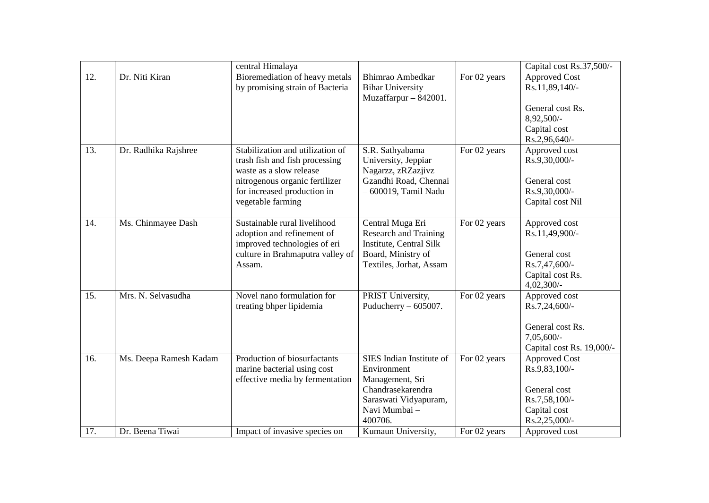|                   |                        | central Himalaya                                                                                                                                                                    |                                                                                                                                      |              | Capital cost Rs.37,500/-                                                                                  |
|-------------------|------------------------|-------------------------------------------------------------------------------------------------------------------------------------------------------------------------------------|--------------------------------------------------------------------------------------------------------------------------------------|--------------|-----------------------------------------------------------------------------------------------------------|
| 12.               | Dr. Niti Kiran         | Bioremediation of heavy metals<br>by promising strain of Bacteria                                                                                                                   | Bhimrao Ambedkar<br><b>Bihar University</b><br>Muzaffarpur - 842001.                                                                 | For 02 years | <b>Approved Cost</b><br>Rs.11,89,140/-<br>General cost Rs.<br>8,92,500/-<br>Capital cost<br>Rs.2,96,640/- |
| 13.               | Dr. Radhika Rajshree   | Stabilization and utilization of<br>trash fish and fish processing<br>waste as a slow release<br>nitrogenous organic fertilizer<br>for increased production in<br>vegetable farming | S.R. Sathyabama<br>University, Jeppiar<br>Nagarzz, zRZazjivz<br>Gzandhi Road, Chennai<br>- 600019, Tamil Nadu                        | For 02 years | Approved cost<br>Rs.9,30,000/-<br>General cost<br>Rs.9,30,000/-<br>Capital cost Nil                       |
| 14.               | Ms. Chinmayee Dash     | Sustainable rural livelihood<br>adoption and refinement of<br>improved technologies of eri<br>culture in Brahmaputra valley of<br>Assam.                                            | Central Muga Eri<br><b>Research and Training</b><br>Institute, Central Silk<br>Board, Ministry of<br>Textiles, Jorhat, Assam         | For 02 years | Approved cost<br>Rs.11,49,900/-<br>General cost<br>Rs.7,47,600/-<br>Capital cost Rs.<br>$4,02,300/-$      |
| $\overline{15}$ . | Mrs. N. Selvasudha     | Novel nano formulation for<br>treating bhper lipidemia                                                                                                                              | PRIST University,<br>Puducherry $-605007$ .                                                                                          | For 02 years | Approved cost<br>Rs.7,24,600/-<br>General cost Rs.<br>$7,05,600/-$<br>Capital cost Rs. 19,000/-           |
| 16.               | Ms. Deepa Ramesh Kadam | Production of biosurfactants<br>marine bacterial using cost<br>effective media by fermentation                                                                                      | SIES Indian Institute of<br>Environment<br>Management, Sri<br>Chandrasekarendra<br>Saraswati Vidyapuram,<br>Navi Mumbai -<br>400706. | For 02 years | <b>Approved Cost</b><br>Rs.9,83,100/-<br>General cost<br>Rs.7,58,100/-<br>Capital cost<br>Rs.2,25,000/-   |
| 17.               | Dr. Beena Tiwai        | Impact of invasive species on                                                                                                                                                       | Kumaun University,                                                                                                                   | For 02 years | Approved cost                                                                                             |